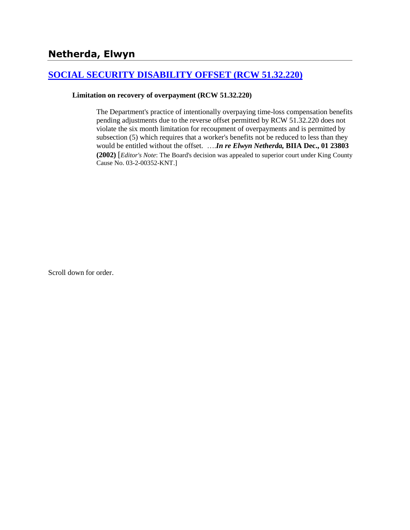# **[SOCIAL SECURITY DISABILITY OFFSET \(RCW 51.32.220\)](http://www.biia.wa.gov/SDSubjectIndex.html#SOCIAL_SECURITY_DISABILITY_OFFSET)**

#### **Limitation on recovery of overpayment (RCW 51.32.220)**

The Department's practice of intentionally overpaying time-loss compensation benefits pending adjustments due to the reverse offset permitted by RCW 51.32.220 does not violate the six month limitation for recoupment of overpayments and is permitted by subsection (5) which requires that a worker's benefits not be reduced to less than they would be entitled without the offset. ….*In re Elwyn Netherda,* **BIIA Dec., 01 23803 (2002)** [*Editor's Note*: The Board's decision was appealed to superior court under King County Cause No. 03-2-00352-KNT.]

Scroll down for order.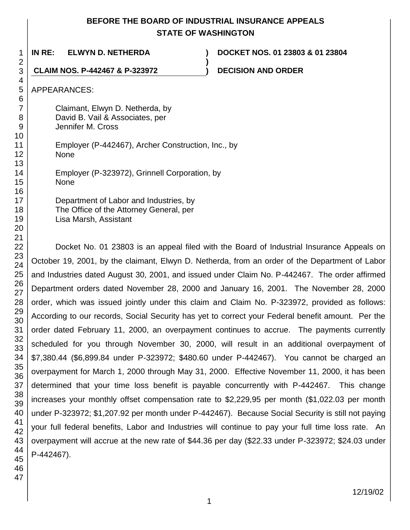# **BEFORE THE BOARD OF INDUSTRIAL INSURANCE APPEALS STATE OF WASHINGTON**

**)**

1

**IN RE: ELWYN D. NETHERDA ) DOCKET NOS. 01 23803 & 01 23804**

**CLAIM NOS. P-442467 & P-323972 ) DECISION AND ORDER**

APPEARANCES:

Claimant, Elwyn D. Netherda, by David B. Vail & Associates, per Jennifer M. Cross

Employer (P-442467), Archer Construction, Inc., by None

Employer (P-323972), Grinnell Corporation, by None

Department of Labor and Industries, by The Office of the Attorney General, per Lisa Marsh, Assistant

Docket No. 01 23803 is an appeal filed with the Board of Industrial Insurance Appeals on October 19, 2001, by the claimant, Elwyn D. Netherda, from an order of the Department of Labor and Industries dated August 30, 2001, and issued under Claim No. P-442467. The order affirmed Department orders dated November 28, 2000 and January 16, 2001. The November 28, 2000 order, which was issued jointly under this claim and Claim No. P-323972, provided as follows: According to our records, Social Security has yet to correct your Federal benefit amount. Per the order dated February 11, 2000, an overpayment continues to accrue. The payments currently scheduled for you through November 30, 2000, will result in an additional overpayment of \$7,380.44 (\$6,899.84 under P-323972; \$480.60 under P-442467). You cannot be charged an overpayment for March 1, 2000 through May 31, 2000. Effective November 11, 2000, it has been determined that your time loss benefit is payable concurrently with P-442467. This change increases your monthly offset compensation rate to \$2,229,95 per month (\$1,022.03 per month under P-323972; \$1,207.92 per month under P-442467). Because Social Security is still not paying your full federal benefits, Labor and Industries will continue to pay your full time loss rate. An overpayment will accrue at the new rate of \$44.36 per day (\$22.33 under P-323972; \$24.03 under P-442467).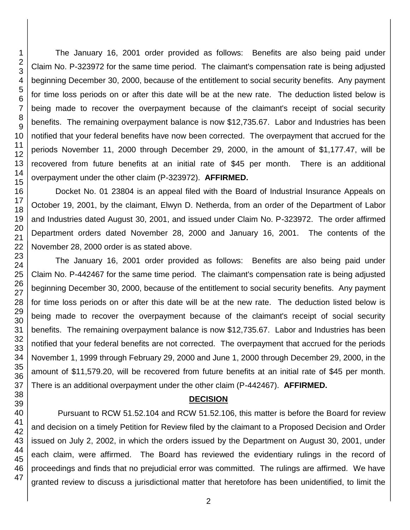46 47

The January 16, 2001 order provided as follows: Benefits are also being paid under Claim No. P-323972 for the same time period. The claimant's compensation rate is being adjusted beginning December 30, 2000, because of the entitlement to social security benefits. Any payment for time loss periods on or after this date will be at the new rate. The deduction listed below is being made to recover the overpayment because of the claimant's receipt of social security benefits. The remaining overpayment balance is now \$12,735.67. Labor and Industries has been notified that your federal benefits have now been corrected. The overpayment that accrued for the periods November 11, 2000 through December 29, 2000, in the amount of \$1,177.47, will be recovered from future benefits at an initial rate of \$45 per month. There is an additional overpayment under the other claim (P-323972). **AFFIRMED.**

Docket No. 01 23804 is an appeal filed with the Board of Industrial Insurance Appeals on October 19, 2001, by the claimant, Elwyn D. Netherda, from an order of the Department of Labor and Industries dated August 30, 2001, and issued under Claim No. P-323972. The order affirmed Department orders dated November 28, 2000 and January 16, 2001. The contents of the November 28, 2000 order is as stated above.

The January 16, 2001 order provided as follows: Benefits are also being paid under Claim No. P-442467 for the same time period. The claimant's compensation rate is being adjusted beginning December 30, 2000, because of the entitlement to social security benefits. Any payment for time loss periods on or after this date will be at the new rate. The deduction listed below is being made to recover the overpayment because of the claimant's receipt of social security benefits. The remaining overpayment balance is now \$12,735.67. Labor and Industries has been notified that your federal benefits are not corrected. The overpayment that accrued for the periods November 1, 1999 through February 29, 2000 and June 1, 2000 through December 29, 2000, in the amount of \$11,579.20, will be recovered from future benefits at an initial rate of \$45 per month. There is an additional overpayment under the other claim (P-442467). **AFFIRMED.**

## **DECISION**

Pursuant to RCW 51.52.104 and RCW 51.52.106, this matter is before the Board for review and decision on a timely Petition for Review filed by the claimant to a Proposed Decision and Order issued on July 2, 2002, in which the orders issued by the Department on August 30, 2001, under each claim, were affirmed. The Board has reviewed the evidentiary rulings in the record of proceedings and finds that no prejudicial error was committed. The rulings are affirmed. We have granted review to discuss a jurisdictional matter that heretofore has been unidentified, to limit the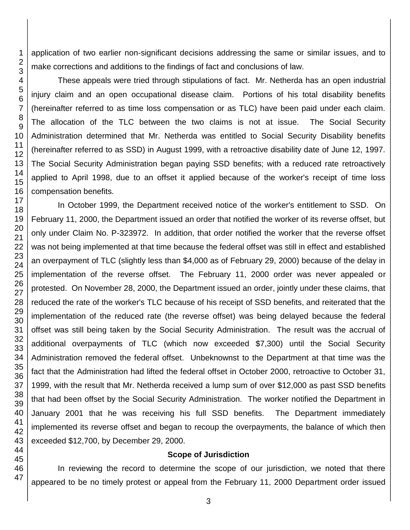application of two earlier non-significant decisions addressing the same or similar issues, and to make corrections and additions to the findings of fact and conclusions of law.

These appeals were tried through stipulations of fact. Mr. Netherda has an open industrial injury claim and an open occupational disease claim. Portions of his total disability benefits (hereinafter referred to as time loss compensation or as TLC) have been paid under each claim. The allocation of the TLC between the two claims is not at issue. The Social Security Administration determined that Mr. Netherda was entitled to Social Security Disability benefits (hereinafter referred to as SSD) in August 1999, with a retroactive disability date of June 12, 1997. The Social Security Administration began paying SSD benefits; with a reduced rate retroactively applied to April 1998, due to an offset it applied because of the worker's receipt of time loss compensation benefits.

In October 1999, the Department received notice of the worker's entitlement to SSD. On February 11, 2000, the Department issued an order that notified the worker of its reverse offset, but only under Claim No. P-323972. In addition, that order notified the worker that the reverse offset was not being implemented at that time because the federal offset was still in effect and established an overpayment of TLC (slightly less than \$4,000 as of February 29, 2000) because of the delay in implementation of the reverse offset. The February 11, 2000 order was never appealed or protested. On November 28, 2000, the Department issued an order, jointly under these claims, that reduced the rate of the worker's TLC because of his receipt of SSD benefits, and reiterated that the implementation of the reduced rate (the reverse offset) was being delayed because the federal offset was still being taken by the Social Security Administration. The result was the accrual of additional overpayments of TLC (which now exceeded \$7,300) until the Social Security Administration removed the federal offset. Unbeknownst to the Department at that time was the fact that the Administration had lifted the federal offset in October 2000, retroactive to October 31, 1999, with the result that Mr. Netherda received a lump sum of over \$12,000 as past SSD benefits that had been offset by the Social Security Administration. The worker notified the Department in January 2001 that he was receiving his full SSD benefits. The Department immediately implemented its reverse offset and began to recoup the overpayments, the balance of which then exceeded \$12,700, by December 29, 2000.

#### **Scope of Jurisdiction**

In reviewing the record to determine the scope of our jurisdiction, we noted that there appeared to be no timely protest or appeal from the February 11, 2000 Department order issued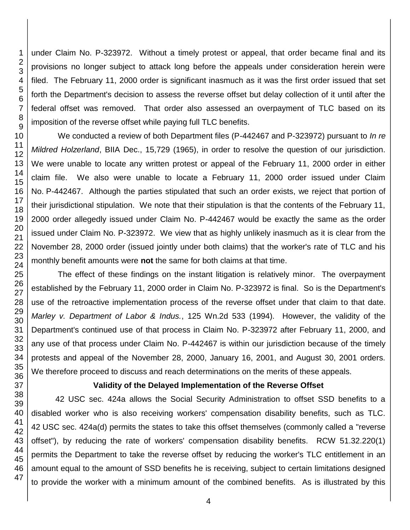under Claim No. P-323972. Without a timely protest or appeal, that order became final and its provisions no longer subject to attack long before the appeals under consideration herein were filed. The February 11, 2000 order is significant inasmuch as it was the first order issued that set forth the Department's decision to assess the reverse offset but delay collection of it until after the federal offset was removed. That order also assessed an overpayment of TLC based on its imposition of the reverse offset while paying full TLC benefits.

We conducted a review of both Department files (P-442467 and P-323972) pursuant to *In re Mildred Holzerland*, BIIA Dec., 15,729 (1965), in order to resolve the question of our jurisdiction. We were unable to locate any written protest or appeal of the February 11, 2000 order in either claim file. We also were unable to locate a February 11, 2000 order issued under Claim No. P-442467. Although the parties stipulated that such an order exists, we reject that portion of their jurisdictional stipulation. We note that their stipulation is that the contents of the February 11, 2000 order allegedly issued under Claim No. P-442467 would be exactly the same as the order issued under Claim No. P-323972. We view that as highly unlikely inasmuch as it is clear from the November 28, 2000 order (issued jointly under both claims) that the worker's rate of TLC and his monthly benefit amounts were **not** the same for both claims at that time.

The effect of these findings on the instant litigation is relatively minor. The overpayment established by the February 11, 2000 order in Claim No. P-323972 is final. So is the Department's use of the retroactive implementation process of the reverse offset under that claim to that date. *Marley v. Department of Labor & Indus.*, 125 Wn.2d 533 (1994). However, the validity of the Department's continued use of that process in Claim No. P-323972 after February 11, 2000, and any use of that process under Claim No. P-442467 is within our jurisdiction because of the timely protests and appeal of the November 28, 2000, January 16, 2001, and August 30, 2001 orders. We therefore proceed to discuss and reach determinations on the merits of these appeals.

## **Validity of the Delayed Implementation of the Reverse Offset**

42 USC sec. 424a allows the Social Security Administration to offset SSD benefits to a disabled worker who is also receiving workers' compensation disability benefits, such as TLC. USC sec. 424a(d) permits the states to take this offset themselves (commonly called a "reverse offset"), by reducing the rate of workers' compensation disability benefits. RCW 51.32.220(1) permits the Department to take the reverse offset by reducing the worker's TLC entitlement in an amount equal to the amount of SSD benefits he is receiving, subject to certain limitations designed to provide the worker with a minimum amount of the combined benefits. As is illustrated by this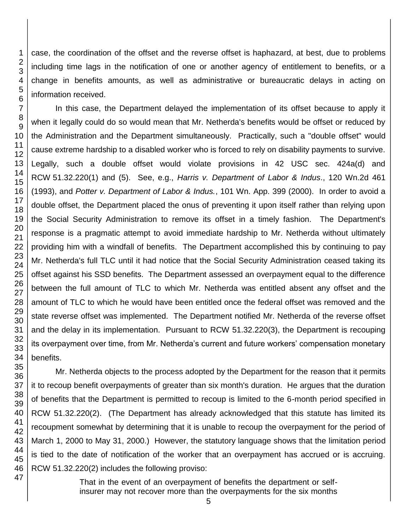47

case, the coordination of the offset and the reverse offset is haphazard, at best, due to problems including time lags in the notification of one or another agency of entitlement to benefits, or a change in benefits amounts, as well as administrative or bureaucratic delays in acting on information received.

In this case, the Department delayed the implementation of its offset because to apply it when it legally could do so would mean that Mr. Netherda's benefits would be offset or reduced by the Administration and the Department simultaneously. Practically, such a "double offset" would cause extreme hardship to a disabled worker who is forced to rely on disability payments to survive. Legally, such a double offset would violate provisions in 42 USC sec. 424a(d) and RCW 51.32.220(1) and (5). See, e.g., *Harris v. Department of Labor & Indus*., 120 Wn.2d 461 (1993), and *Potter v. Department of Labor & Indus.*, 101 Wn. App. 399 (2000). In order to avoid a double offset, the Department placed the onus of preventing it upon itself rather than relying upon the Social Security Administration to remove its offset in a timely fashion. The Department's response is a pragmatic attempt to avoid immediate hardship to Mr. Netherda without ultimately providing him with a windfall of benefits. The Department accomplished this by continuing to pay Mr. Netherda's full TLC until it had notice that the Social Security Administration ceased taking its offset against his SSD benefits. The Department assessed an overpayment equal to the difference between the full amount of TLC to which Mr. Netherda was entitled absent any offset and the amount of TLC to which he would have been entitled once the federal offset was removed and the state reverse offset was implemented. The Department notified Mr. Netherda of the reverse offset and the delay in its implementation. Pursuant to RCW 51.32.220(3), the Department is recouping its overpayment over time, from Mr. Netherda's current and future workers' compensation monetary benefits.

Mr. Netherda objects to the process adopted by the Department for the reason that it permits it to recoup benefit overpayments of greater than six month's duration. He argues that the duration of benefits that the Department is permitted to recoup is limited to the 6-month period specified in RCW 51.32.220(2). (The Department has already acknowledged that this statute has limited its recoupment somewhat by determining that it is unable to recoup the overpayment for the period of March 1, 2000 to May 31, 2000.) However, the statutory language shows that the limitation period is tied to the date of notification of the worker that an overpayment has accrued or is accruing. RCW 51.32.220(2) includes the following proviso:

> That in the event of an overpayment of benefits the department or selfinsurer may not recover more than the overpayments for the six months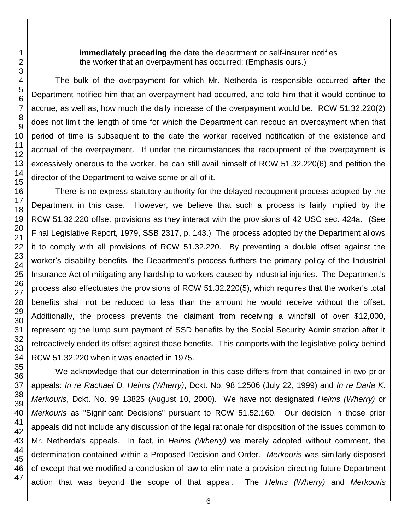**immediately preceding** the date the department or self-insurer notifies the worker that an overpayment has occurred: (Emphasis ours.)

The bulk of the overpayment for which Mr. Netherda is responsible occurred **after** the Department notified him that an overpayment had occurred, and told him that it would continue to accrue, as well as, how much the daily increase of the overpayment would be. RCW 51.32.220(2) does not limit the length of time for which the Department can recoup an overpayment when that period of time is subsequent to the date the worker received notification of the existence and accrual of the overpayment. If under the circumstances the recoupment of the overpayment is excessively onerous to the worker, he can still avail himself of RCW 51.32.220(6) and petition the director of the Department to waive some or all of it.

There is no express statutory authority for the delayed recoupment process adopted by the Department in this case. However, we believe that such a process is fairly implied by the RCW 51.32.220 offset provisions as they interact with the provisions of 42 USC sec. 424a. (See Final Legislative Report, 1979, SSB 2317, p. 143.) The process adopted by the Department allows it to comply with all provisions of RCW 51.32.220. By preventing a double offset against the worker's disability benefits, the Department's process furthers the primary policy of the Industrial Insurance Act of mitigating any hardship to workers caused by industrial injuries. The Department's process also effectuates the provisions of RCW 51.32.220(5), which requires that the worker's total benefits shall not be reduced to less than the amount he would receive without the offset. Additionally, the process prevents the claimant from receiving a windfall of over \$12,000, representing the lump sum payment of SSD benefits by the Social Security Administration after it retroactively ended its offset against those benefits. This comports with the legislative policy behind RCW 51.32.220 when it was enacted in 1975.

We acknowledge that our determination in this case differs from that contained in two prior appeals: *In re Rachael D. Helms (Wherry)*, Dckt. No. 98 12506 (July 22, 1999) and *In re Darla K. Merkouris*, Dckt. No. 99 13825 (August 10, 2000). We have not designated *Helms (Wherry)* or *Merkouris* as "Significant Decisions" pursuant to RCW 51.52.160. Our decision in those prior appeals did not include any discussion of the legal rationale for disposition of the issues common to Mr. Netherda's appeals. In fact, in *Helms (Wherry)* we merely adopted without comment, the determination contained within a Proposed Decision and Order. *Merkouris* was similarly disposed of except that we modified a conclusion of law to eliminate a provision directing future Department action that was beyond the scope of that appeal. The *Helms (Wherry)* and *Merkouris*

6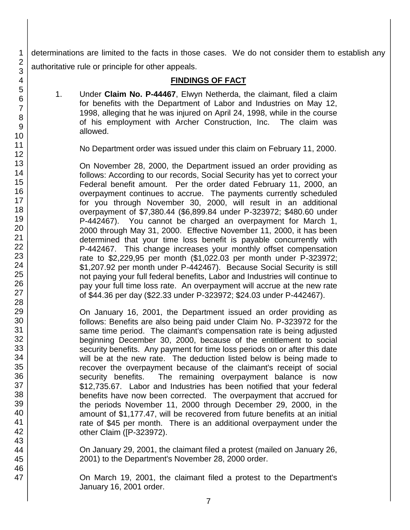determinations are limited to the facts in those cases. We do not consider them to establish any authoritative rule or principle for other appeals.

#### **FINDINGS OF FACT**

1. Under **Claim No. P-44467**, Elwyn Netherda, the claimant, filed a claim for benefits with the Department of Labor and Industries on May 12, 1998, alleging that he was injured on April 24, 1998, while in the course of his employment with Archer Construction, Inc. The claim was allowed.

No Department order was issued under this claim on February 11, 2000.

On November 28, 2000, the Department issued an order providing as follows: According to our records, Social Security has yet to correct your Federal benefit amount. Per the order dated February 11, 2000, an overpayment continues to accrue. The payments currently scheduled for you through November 30, 2000, will result in an additional overpayment of \$7,380.44 (\$6,899.84 under P-323972; \$480.60 under P-442467). You cannot be charged an overpayment for March 1, 2000 through May 31, 2000. Effective November 11, 2000, it has been determined that your time loss benefit is payable concurrently with P-442467. This change increases your monthly offset compensation rate to \$2,229,95 per month (\$1,022.03 per month under P-323972; \$1,207.92 per month under P-442467). Because Social Security is still not paying your full federal benefits, Labor and Industries will continue to pay your full time loss rate. An overpayment will accrue at the new rate of \$44.36 per day (\$22.33 under P-323972; \$24.03 under P-442467).

On January 16, 2001, the Department issued an order providing as follows: Benefits are also being paid under Claim No. P-323972 for the same time period. The claimant's compensation rate is being adjusted beginning December 30, 2000, because of the entitlement to social security benefits. Any payment for time loss periods on or after this date will be at the new rate. The deduction listed below is being made to recover the overpayment because of the claimant's receipt of social security benefits. The remaining overpayment balance is now \$12,735.67. Labor and Industries has been notified that your federal benefits have now been corrected. The overpayment that accrued for the periods November 11, 2000 through December 29, 2000, in the amount of \$1,177.47, will be recovered from future benefits at an initial rate of \$45 per month. There is an additional overpayment under the other Claim ([P-323972).

On January 29, 2001, the claimant filed a protest (mailed on January 26, 2001) to the Department's November 28, 2000 order.

On March 19, 2001, the claimant filed a protest to the Department's January 16, 2001 order.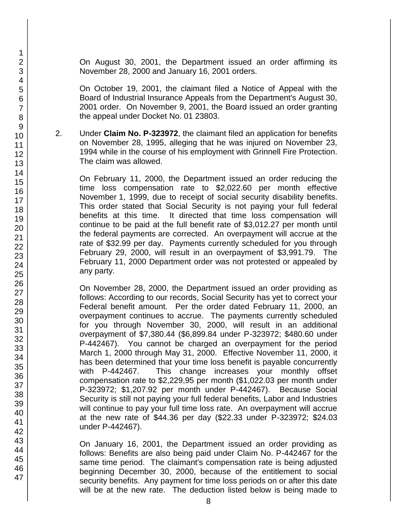On August 30, 2001, the Department issued an order affirming its November 28, 2000 and January 16, 2001 orders.

On October 19, 2001, the claimant filed a Notice of Appeal with the Board of Industrial Insurance Appeals from the Department's August 30, 2001 order. On November 9, 2001, the Board issued an order granting the appeal under Docket No. 01 23803.

2. Under **Claim No. P-323972**, the claimant filed an application for benefits on November 28, 1995, alleging that he was injured on November 23, 1994 while in the course of his employment with Grinnell Fire Protection. The claim was allowed.

On February 11, 2000, the Department issued an order reducing the time loss compensation rate to \$2,022.60 per month effective November 1, 1999, due to receipt of social security disability benefits. This order stated that Social Security is not paying your full federal benefits at this time. It directed that time loss compensation will continue to be paid at the full benefit rate of \$3,012.27 per month until the federal payments are corrected. An overpayment will accrue at the rate of \$32.99 per day. Payments currently scheduled for you through February 29, 2000, will result in an overpayment of \$3,991.79. The February 11, 2000 Department order was not protested or appealed by any party.

On November 28, 2000, the Department issued an order providing as follows: According to our records, Social Security has yet to correct your Federal benefit amount. Per the order dated February 11, 2000, an overpayment continues to accrue. The payments currently scheduled for you through November 30, 2000, will result in an additional overpayment of \$7,380.44 (\$6,899.84 under P-323972; \$480.60 under P-442467). You cannot be charged an overpayment for the period March 1, 2000 through May 31, 2000. Effective November 11, 2000, it has been determined that your time loss benefit is payable concurrently with P-442467. This change increases your monthly offset compensation rate to \$2,229,95 per month (\$1,022.03 per month under P-323972; \$1,207.92 per month under P-442467). Because Social Security is still not paying your full federal benefits, Labor and Industries will continue to pay your full time loss rate. An overpayment will accrue at the new rate of \$44.36 per day (\$22.33 under P-323972; \$24.03 under P-442467).

On January 16, 2001, the Department issued an order providing as follows: Benefits are also being paid under Claim No. P-442467 for the same time period. The claimant's compensation rate is being adjusted beginning December 30, 2000, because of the entitlement to social security benefits. Any payment for time loss periods on or after this date will be at the new rate. The deduction listed below is being made to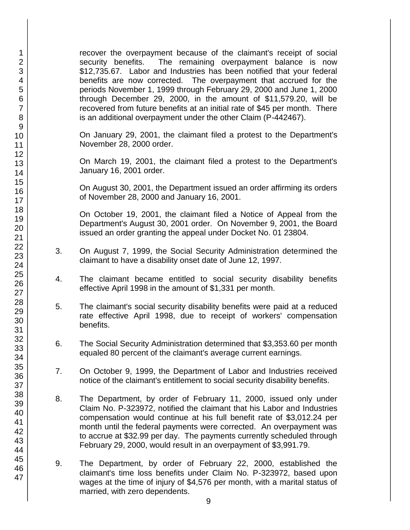recover the overpayment because of the claimant's receipt of social security benefits. The remaining overpayment balance is now \$12,735.67. Labor and Industries has been notified that your federal benefits are now corrected. The overpayment that accrued for the periods November 1, 1999 through February 29, 2000 and June 1, 2000 through December 29, 2000, in the amount of \$11,579.20, will be recovered from future benefits at an initial rate of \$45 per month. There is an additional overpayment under the other Claim (P-442467).

On January 29, 2001, the claimant filed a protest to the Department's November 28, 2000 order.

On March 19, 2001, the claimant filed a protest to the Department's January 16, 2001 order.

On August 30, 2001, the Department issued an order affirming its orders of November 28, 2000 and January 16, 2001.

On October 19, 2001, the claimant filed a Notice of Appeal from the Department's August 30, 2001 order. On November 9, 2001, the Board issued an order granting the appeal under Docket No. 01 23804.

- 3. On August 7, 1999, the Social Security Administration determined the claimant to have a disability onset date of June 12, 1997.
- 4. The claimant became entitled to social security disability benefits effective April 1998 in the amount of \$1,331 per month.
- 5. The claimant's social security disability benefits were paid at a reduced rate effective April 1998, due to receipt of workers' compensation benefits.
- 6. The Social Security Administration determined that \$3,353.60 per month equaled 80 percent of the claimant's average current earnings.
- 7. On October 9, 1999, the Department of Labor and Industries received notice of the claimant's entitlement to social security disability benefits.
- 8. The Department, by order of February 11, 2000, issued only under Claim No. P-323972, notified the claimant that his Labor and Industries compensation would continue at his full benefit rate of \$3,012.24 per month until the federal payments were corrected. An overpayment was to accrue at \$32.99 per day. The payments currently scheduled through February 29, 2000, would result in an overpayment of \$3,991.79.
- 9. The Department, by order of February 22, 2000, established the claimant's time loss benefits under Claim No. P-323972, based upon wages at the time of injury of \$4,576 per month, with a marital status of married, with zero dependents.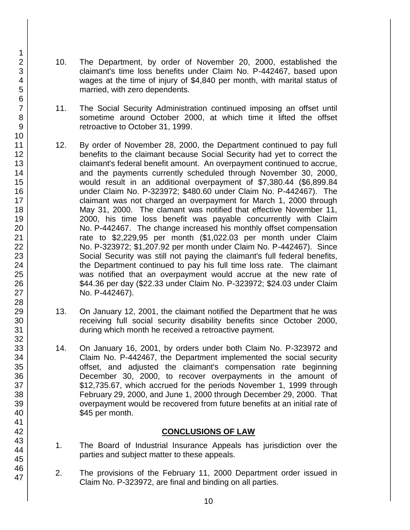- 10. The Department, by order of November 20, 2000, established the claimant's time loss benefits under Claim No. P-442467, based upon wages at the time of injury of \$4,840 per month, with marital status of married, with zero dependents.
- 11. The Social Security Administration continued imposing an offset until sometime around October 2000, at which time it lifted the offset retroactive to October 31, 1999.
- 12. By order of November 28, 2000, the Department continued to pay full benefits to the claimant because Social Security had yet to correct the claimant's federal benefit amount. An overpayment continued to accrue, and the payments currently scheduled through November 30, 2000, would result in an additional overpayment of \$7,380.44 (\$6,899.84 under Claim No. P-323972; \$480.60 under Claim No. P-442467). The claimant was not charged an overpayment for March 1, 2000 through May 31, 2000. The clamant was notified that effective November 11, 2000, his time loss benefit was payable concurrently with Claim No. P-442467. The change increased his monthly offset compensation rate to \$2,229,95 per month (\$1,022.03 per month under Claim No. P-323972; \$1,207.92 per month under Claim No. P-442467). Since Social Security was still not paying the claimant's full federal benefits, the Department continued to pay his full time loss rate. The claimant was notified that an overpayment would accrue at the new rate of \$44.36 per day (\$22.33 under Claim No. P-323972; \$24.03 under Claim No. P-442467).
- 13. On January 12, 2001, the claimant notified the Department that he was receiving full social security disability benefits since October 2000, during which month he received a retroactive payment.
- 14. On January 16, 2001, by orders under both Claim No. P-323972 and Claim No. P-442467, the Department implemented the social security offset, and adjusted the claimant's compensation rate beginning December 30, 2000, to recover overpayments in the amount of \$12,735.67, which accrued for the periods November 1, 1999 through February 29, 2000, and June 1, 2000 through December 29, 2000. That overpayment would be recovered from future benefits at an initial rate of \$45 per month.

## **CONCLUSIONS OF LAW**

- 1. The Board of Industrial Insurance Appeals has jurisdiction over the parties and subject matter to these appeals.
- 2. The provisions of the February 11, 2000 Department order issued in Claim No. P-323972, are final and binding on all parties.